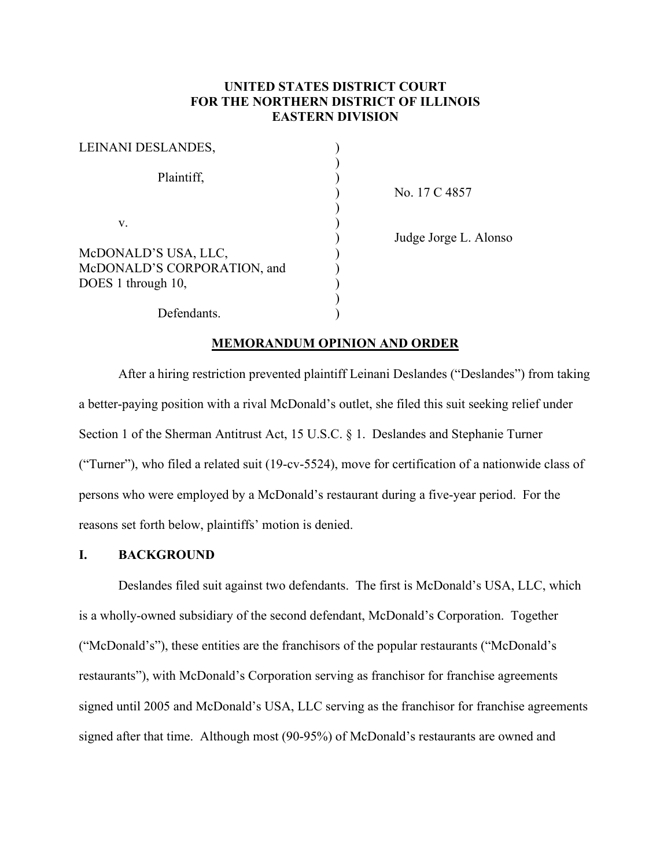# **UNITED STATES DISTRICT COURT FOR THE NORTHERN DISTRICT OF ILLINOIS EASTERN DIVISION**

| LEINANI DESLANDES,          |  |
|-----------------------------|--|
|                             |  |
| Plaintiff,                  |  |
|                             |  |
|                             |  |
| V.                          |  |
|                             |  |
| McDONALD'S USA, LLC,        |  |
| McDONALD'S CORPORATION, and |  |
| DOES 1 through 10,          |  |
|                             |  |
| Defendants.                 |  |

) No. 17 C 4857

) Judge Jorge L. Alonso

### **MEMORANDUM OPINION AND ORDER**

After a hiring restriction prevented plaintiff Leinani Deslandes ("Deslandes") from taking a better-paying position with a rival McDonald's outlet, she filed this suit seeking relief under Section 1 of the Sherman Antitrust Act, 15 U.S.C. § 1. Deslandes and Stephanie Turner ("Turner"), who filed a related suit (19-cv-5524), move for certification of a nationwide class of persons who were employed by a McDonald's restaurant during a five-year period. For the reasons set forth below, plaintiffs' motion is denied.

## **I. BACKGROUND**

Deslandes filed suit against two defendants. The first is McDonald's USA, LLC, which is a wholly-owned subsidiary of the second defendant, McDonald's Corporation. Together ("McDonald's"), these entities are the franchisors of the popular restaurants ("McDonald's restaurants"), with McDonald's Corporation serving as franchisor for franchise agreements signed until 2005 and McDonald's USA, LLC serving as the franchisor for franchise agreements signed after that time. Although most (90-95%) of McDonald's restaurants are owned and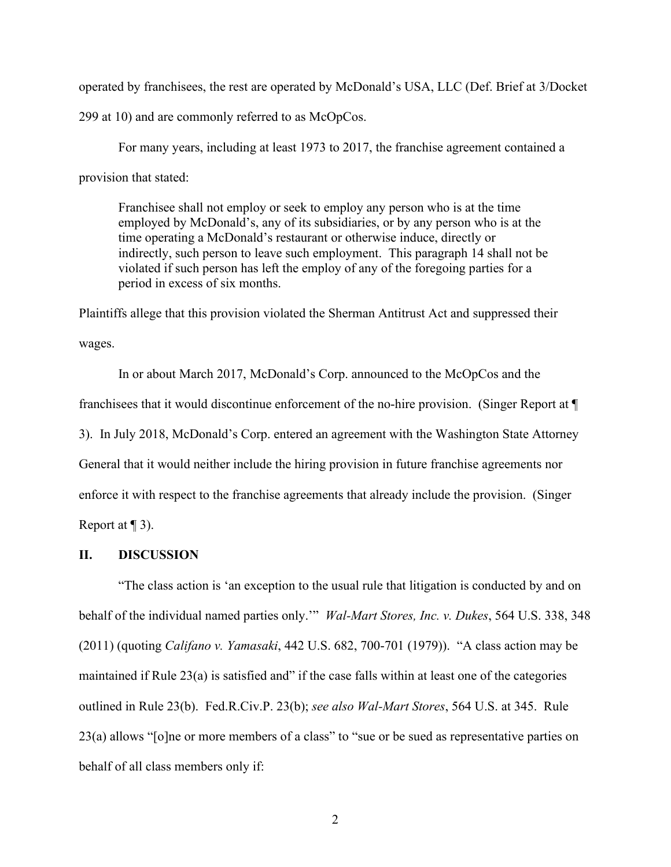operated by franchisees, the rest are operated by McDonald's USA, LLC (Def. Brief at 3/Docket

299 at 10) and are commonly referred to as McOpCos.

For many years, including at least 1973 to 2017, the franchise agreement contained a provision that stated:

Franchisee shall not employ or seek to employ any person who is at the time employed by McDonald's, any of its subsidiaries, or by any person who is at the time operating a McDonald's restaurant or otherwise induce, directly or indirectly, such person to leave such employment. This paragraph 14 shall not be violated if such person has left the employ of any of the foregoing parties for a period in excess of six months.

Plaintiffs allege that this provision violated the Sherman Antitrust Act and suppressed their wages.

In or about March 2017, McDonald's Corp. announced to the McOpCos and the franchisees that it would discontinue enforcement of the no-hire provision. (Singer Report at ¶ 3). In July 2018, McDonald's Corp. entered an agreement with the Washington State Attorney General that it would neither include the hiring provision in future franchise agreements nor enforce it with respect to the franchise agreements that already include the provision. (Singer Report at  $\P$  3).

## **II. DISCUSSION**

"The class action is 'an exception to the usual rule that litigation is conducted by and on behalf of the individual named parties only.'" *Wal-Mart Stores, Inc. v. Dukes*, 564 U.S. 338, 348 (2011) (quoting *Califano v. Yamasaki*, 442 U.S. 682, 700-701 (1979)). "A class action may be maintained if Rule  $23(a)$  is satisfied and" if the case falls within at least one of the categories outlined in Rule 23(b). Fed.R.Civ.P. 23(b); *see also Wal-Mart Stores*, 564 U.S. at 345. Rule 23(a) allows "[o]ne or more members of a class" to "sue or be sued as representative parties on behalf of all class members only if: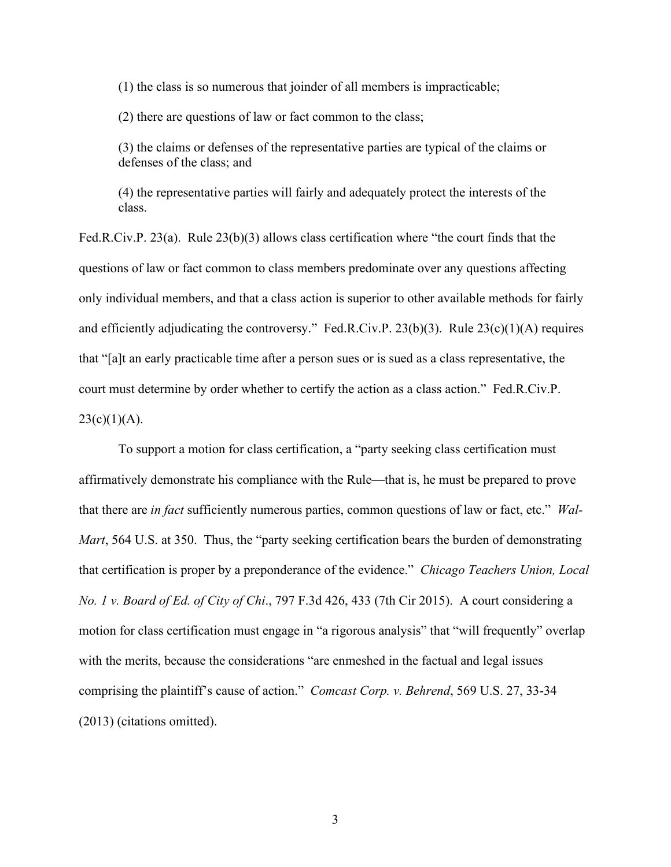(1) the class is so numerous that joinder of all members is impracticable;

(2) there are questions of law or fact common to the class;

(3) the claims or defenses of the representative parties are typical of the claims or defenses of the class; and

(4) the representative parties will fairly and adequately protect the interests of the class.

Fed.R.Civ.P. 23(a). Rule 23(b)(3) allows class certification where "the court finds that the questions of law or fact common to class members predominate over any questions affecting only individual members, and that a class action is superior to other available methods for fairly and efficiently adjudicating the controversy." Fed.R.Civ.P. 23(b)(3). Rule  $23(c)(1)(A)$  requires that "[a]t an early practicable time after a person sues or is sued as a class representative, the court must determine by order whether to certify the action as a class action." Fed.R.Civ.P.  $23(c)(1)(A)$ .

To support a motion for class certification, a "party seeking class certification must affirmatively demonstrate his compliance with the Rule—that is, he must be prepared to prove that there are *in fact* sufficiently numerous parties, common questions of law or fact, etc." *Wal-Mart*, 564 U.S. at 350. Thus, the "party seeking certification bears the burden of demonstrating that certification is proper by a preponderance of the evidence." *Chicago Teachers Union, Local No. 1 v. Board of Ed. of City of Chi*., 797 F.3d 426, 433 (7th Cir 2015). A court considering a motion for class certification must engage in "a rigorous analysis" that "will frequently" overlap with the merits, because the considerations "are enmeshed in the factual and legal issues comprising the plaintiff's cause of action." *Comcast Corp. v. Behrend*, 569 U.S. 27, 33-34 (2013) (citations omitted).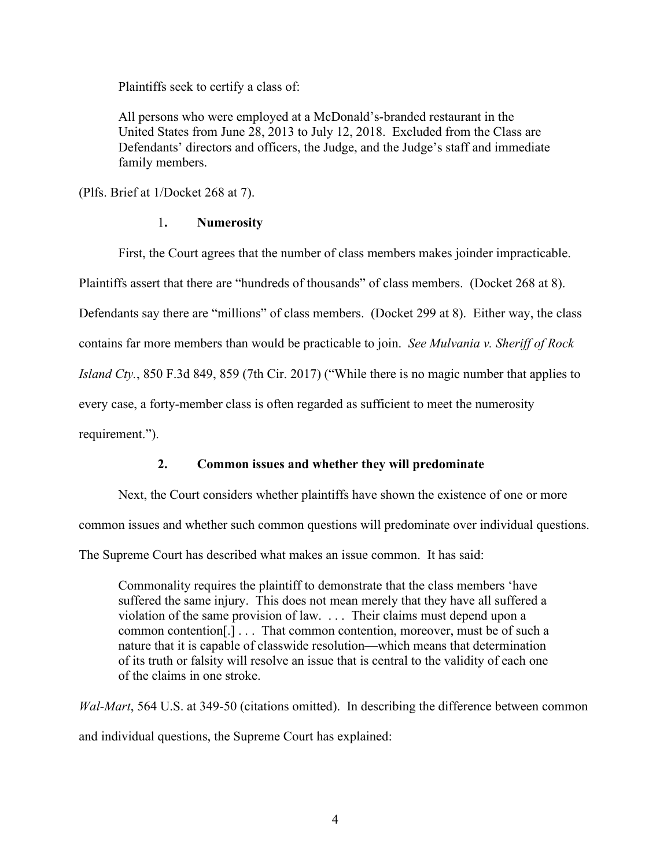Plaintiffs seek to certify a class of:

All persons who were employed at a McDonald's-branded restaurant in the United States from June 28, 2013 to July 12, 2018. Excluded from the Class are Defendants' directors and officers, the Judge, and the Judge's staff and immediate family members.

(Plfs. Brief at 1/Docket 268 at 7).

## 1**. Numerosity**

First, the Court agrees that the number of class members makes joinder impracticable. Plaintiffs assert that there are "hundreds of thousands" of class members. (Docket 268 at 8). Defendants say there are "millions" of class members. (Docket 299 at 8). Either way, the class contains far more members than would be practicable to join. *See Mulvania v. Sheriff of Rock Island Cty.*, 850 F.3d 849, 859 (7th Cir. 2017) ("While there is no magic number that applies to every case, a forty-member class is often regarded as sufficient to meet the numerosity requirement.").

# **2. Common issues and whether they will predominate**

Next, the Court considers whether plaintiffs have shown the existence of one or more

common issues and whether such common questions will predominate over individual questions.

The Supreme Court has described what makes an issue common. It has said:

Commonality requires the plaintiff to demonstrate that the class members 'have suffered the same injury. This does not mean merely that they have all suffered a violation of the same provision of law. . . . Their claims must depend upon a common contention[.] . . . That common contention, moreover, must be of such a nature that it is capable of classwide resolution—which means that determination of its truth or falsity will resolve an issue that is central to the validity of each one of the claims in one stroke.

*Wal-Mart*, 564 U.S. at 349-50 (citations omitted). In describing the difference between common and individual questions, the Supreme Court has explained: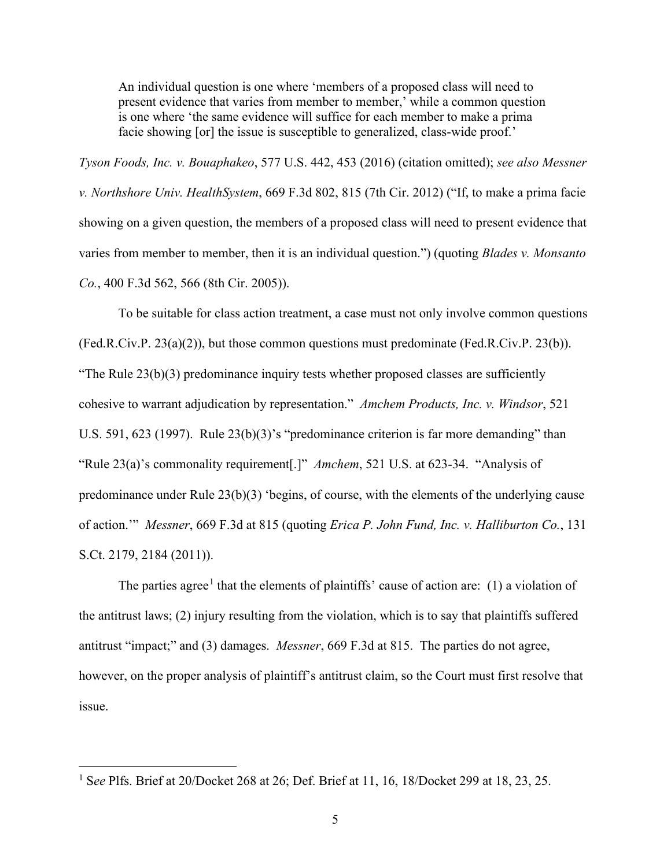An individual question is one where 'members of a proposed class will need to present evidence that varies from member to member,' while a common question is one where 'the same evidence will suffice for each member to make a prima facie showing [or] the issue is susceptible to generalized, class-wide proof.'

*Tyson Foods, Inc. v. Bouaphakeo*, 577 U.S. 442, 453 (2016) (citation omitted); *see also Messner v. Northshore Univ. HealthSystem*, 669 F.3d 802, 815 (7th Cir. 2012) ("If, to make a prima facie showing on a given question, the members of a proposed class will need to present evidence that varies from member to member, then it is an individual question.") (quoting *Blades v. Monsanto Co.*, 400 F.3d 562, 566 (8th Cir. 2005)).

To be suitable for class action treatment, a case must not only involve common questions (Fed.R.Civ.P. 23(a)(2)), but those common questions must predominate (Fed.R.Civ.P. 23(b)). "The Rule  $23(b)(3)$  predominance inquiry tests whether proposed classes are sufficiently cohesive to warrant adjudication by representation." *Amchem Products, Inc. v. Windsor*, 521 U.S. 591, 623 (1997). Rule 23(b)(3)'s "predominance criterion is far more demanding" than "Rule 23(a)'s commonality requirement[.]" *Amchem*, 521 U.S. at 623-34. "Analysis of predominance under Rule 23(b)(3) 'begins, of course, with the elements of the underlying cause of action.'" *Messner*, 669 F.3d at 815 (quoting *Erica P. John Fund, Inc. v. Halliburton Co.*, 131 S.Ct. 2179, 2184 (2011)).

The parties agree<sup>[1](#page-4-0)</sup> that the elements of plaintiffs' cause of action are: (1) a violation of the antitrust laws; (2) injury resulting from the violation, which is to say that plaintiffs suffered antitrust "impact;" and (3) damages. *Messner*, 669 F.3d at 815. The parties do not agree, however, on the proper analysis of plaintiff's antitrust claim, so the Court must first resolve that issue.

<span id="page-4-0"></span><sup>1</sup> S*ee* Plfs. Brief at 20/Docket 268 at 26; Def. Brief at 11, 16, 18/Docket 299 at 18, 23, 25.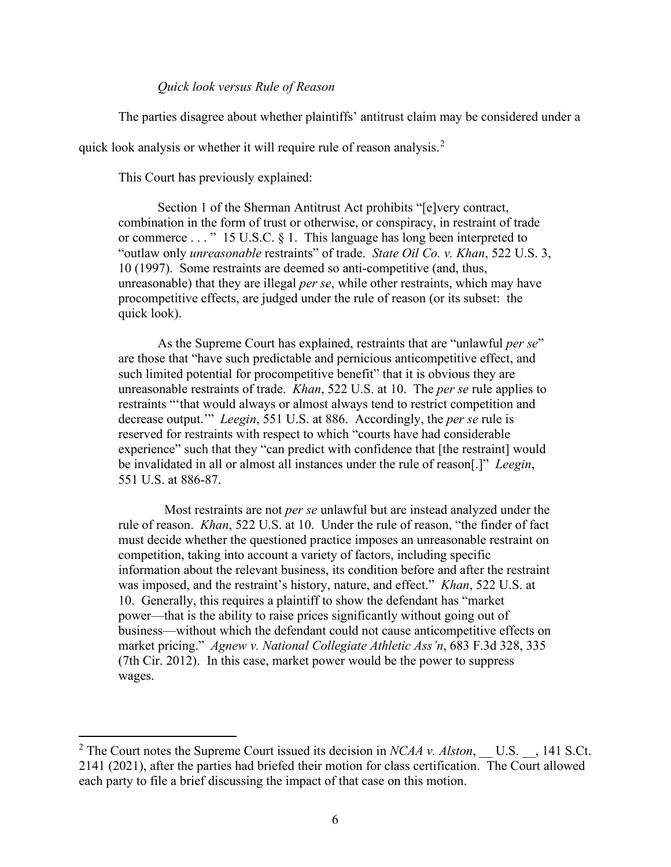#### *Quick look versus Rule of Reason*

The parties disagree about whether plaintiffs' antitrust claim may be considered under a

quick look analysis or whether it will require rule of reason analysis.<sup>[2](#page-5-0)</sup>

This Court has previously explained:

Section 1 of the Sherman Antitrust Act prohibits "[e]very contract, combination in the form of trust or otherwise, or conspiracy, in restraint of trade or commerce . . . " 15 U.S.C. § 1. This language has long been interpreted to "outlaw only *unreasonable* restraints" of trade. *State Oil Co. v. Khan*, 522 U.S. 3, 10 (1997). Some restraints are deemed so anti-competitive (and, thus, unreasonable) that they are illegal *per se*, while other restraints, which may have procompetitive effects, are judged under the rule of reason (or its subset: the quick look).

As the Supreme Court has explained, restraints that are "unlawful *per se*" are those that "have such predictable and pernicious anticompetitive effect, and such limited potential for procompetitive benefit" that it is obvious they are unreasonable restraints of trade. *Khan*, 522 U.S. at 10. The *per se* rule applies to restraints "'that would always or almost always tend to restrict competition and decrease output.'" *Leegin*, 551 U.S. at 886. Accordingly, the *per se* rule is reserved for restraints with respect to which "courts have had considerable experience" such that they "can predict with confidence that [the restraint] would be invalidated in all or almost all instances under the rule of reason[.]" *Leegin*, 551 U.S. at 886-87.

 Most restraints are not *per se* unlawful but are instead analyzed under the rule of reason. *Khan*, 522 U.S. at 10. Under the rule of reason, "the finder of fact must decide whether the questioned practice imposes an unreasonable restraint on competition, taking into account a variety of factors, including specific information about the relevant business, its condition before and after the restraint was imposed, and the restraint's history, nature, and effect." *Khan*, 522 U.S. at 10. Generally, this requires a plaintiff to show the defendant has "market power—that is the ability to raise prices significantly without going out of business—without which the defendant could not cause anticompetitive effects on market pricing." *Agnew v. National Collegiate Athletic Ass'n*, 683 F.3d 328, 335 (7th Cir. 2012). In this case, market power would be the power to suppress wages.

<span id="page-5-0"></span><sup>&</sup>lt;sup>2</sup> The Court notes the Supreme Court issued its decision in *NCAA v. Alston*, U.S., 141 S.Ct. 2141 (2021), after the parties had briefed their motion for class certification. The Court allowed each party to file a brief discussing the impact of that case on this motion.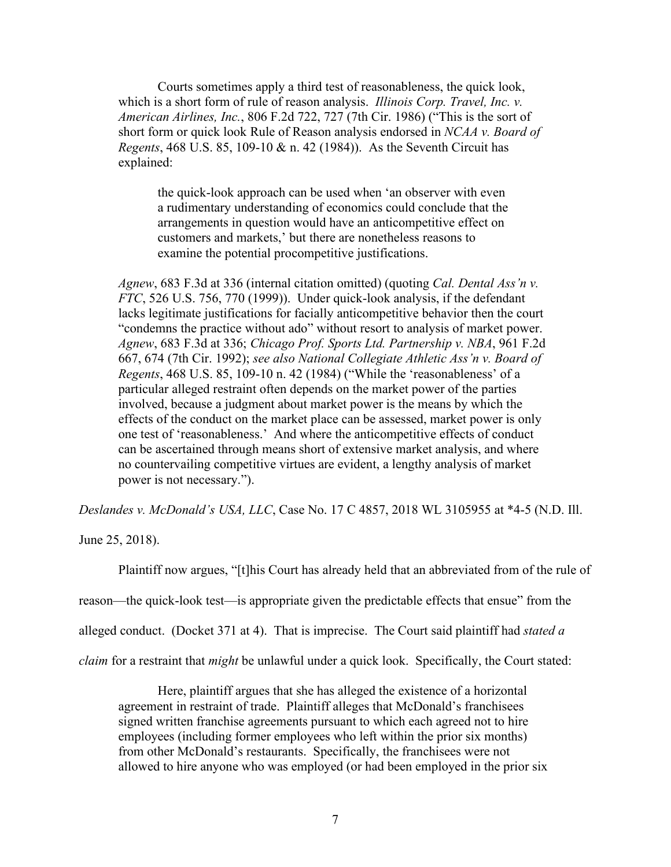Courts sometimes apply a third test of reasonableness, the quick look, which is a short form of rule of reason analysis. *Illinois Corp. Travel, Inc. v. American Airlines, Inc.*, 806 F.2d 722, 727 (7th Cir. 1986) ("This is the sort of short form or quick look Rule of Reason analysis endorsed in *NCAA v. Board of Regents*, 468 U.S. 85, 109-10 & n. 42 (1984)). As the Seventh Circuit has explained:

the quick-look approach can be used when 'an observer with even a rudimentary understanding of economics could conclude that the arrangements in question would have an anticompetitive effect on customers and markets,' but there are nonetheless reasons to examine the potential procompetitive justifications.

*Agnew*, 683 F.3d at 336 (internal citation omitted) (quoting *Cal. Dental Ass'n v. FTC*, 526 U.S. 756, 770 (1999)). Under quick-look analysis, if the defendant lacks legitimate justifications for facially anticompetitive behavior then the court "condemns the practice without ado" without resort to analysis of market power. *Agnew*, 683 F.3d at 336; *Chicago Prof. Sports Ltd. Partnership v. NBA*, 961 F.2d 667, 674 (7th Cir. 1992); *see also National Collegiate Athletic Ass'n v. Board of Regents*, 468 U.S. 85, 109-10 n. 42 (1984) ("While the 'reasonableness' of a particular alleged restraint often depends on the market power of the parties involved, because a judgment about market power is the means by which the effects of the conduct on the market place can be assessed, market power is only one test of 'reasonableness.' And where the anticompetitive effects of conduct can be ascertained through means short of extensive market analysis, and where no countervailing competitive virtues are evident, a lengthy analysis of market power is not necessary.").

*Deslandes v. McDonald's USA, LLC*, Case No. 17 C 4857, 2018 WL 3105955 at \*4-5 (N.D. Ill.

June 25, 2018).

Plaintiff now argues, "[t]his Court has already held that an abbreviated from of the rule of reason—the quick-look test—is appropriate given the predictable effects that ensue" from the alleged conduct. (Docket 371 at 4). That is imprecise. The Court said plaintiff had *stated a claim* for a restraint that *might* be unlawful under a quick look. Specifically, the Court stated:

Here, plaintiff argues that she has alleged the existence of a horizontal agreement in restraint of trade. Plaintiff alleges that McDonald's franchisees signed written franchise agreements pursuant to which each agreed not to hire employees (including former employees who left within the prior six months) from other McDonald's restaurants. Specifically, the franchisees were not allowed to hire anyone who was employed (or had been employed in the prior six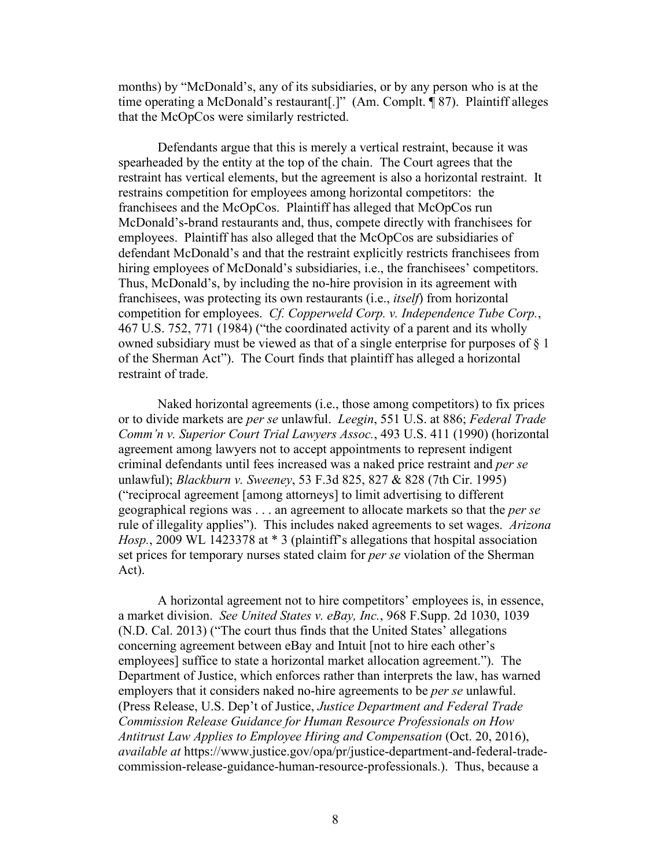months) by "McDonald's, any of its subsidiaries, or by any person who is at the time operating a McDonald's restaurant[.]" (Am. Complt. ¶ 87). Plaintiff alleges that the McOpCos were similarly restricted.

Defendants argue that this is merely a vertical restraint, because it was spearheaded by the entity at the top of the chain. The Court agrees that the restraint has vertical elements, but the agreement is also a horizontal restraint. It restrains competition for employees among horizontal competitors: the franchisees and the McOpCos. Plaintiff has alleged that McOpCos run McDonald's-brand restaurants and, thus, compete directly with franchisees for employees. Plaintiff has also alleged that the McOpCos are subsidiaries of defendant McDonald's and that the restraint explicitly restricts franchisees from hiring employees of McDonald's subsidiaries, *i.e.*, the franchisees' competitors. Thus, McDonald's, by including the no-hire provision in its agreement with franchisees, was protecting its own restaurants (i.e., *itself*) from horizontal competition for employees. *Cf. Copperweld Corp. v. Independence Tube Corp.*, 467 U.S. 752, 771 (1984) ("the coordinated activity of a parent and its wholly owned subsidiary must be viewed as that of a single enterprise for purposes of  $\S$  1 of the Sherman Act"). The Court finds that plaintiff has alleged a horizontal restraint of trade.

Naked horizontal agreements (i.e., those among competitors) to fix prices or to divide markets are *per se* unlawful. *Leegin*, 551 U.S. at 886; *Federal Trade Comm'n v. Superior Court Trial Lawyers Assoc.*, 493 U.S. 411 (1990) (horizontal agreement among lawyers not to accept appointments to represent indigent criminal defendants until fees increased was a naked price restraint and *per se*  unlawful); *Blackburn v. Sweeney*, 53 F.3d 825, 827 & 828 (7th Cir. 1995) ("reciprocal agreement [among attorneys] to limit advertising to different geographical regions was . . . an agreement to allocate markets so that the *per se*  rule of illegality applies"). This includes naked agreements to set wages. *Arizona Hosp.*, 2009 WL 1423378 at \* 3 (plaintiff's allegations that hospital association set prices for temporary nurses stated claim for *per se* violation of the Sherman Act).

A horizontal agreement not to hire competitors' employees is, in essence, a market division. *See United States v. eBay, Inc.*, 968 F.Supp. 2d 1030, 1039 (N.D. Cal. 2013) ("The court thus finds that the United States' allegations concerning agreement between eBay and Intuit [not to hire each other's employees] suffice to state a horizontal market allocation agreement."). The Department of Justice, which enforces rather than interprets the law, has warned employers that it considers naked no-hire agreements to be *per se* unlawful. (Press Release, U.S. Dep't of Justice, *Justice Department and Federal Trade Commission Release Guidance for Human Resource Professionals on How Antitrust Law Applies to Employee Hiring and Compensation* (Oct. 20, 2016), *available at* https://www.justice.gov/opa/pr/justice-department-and-federal-tradecommission-release-guidance-human-resource-professionals.). Thus, because a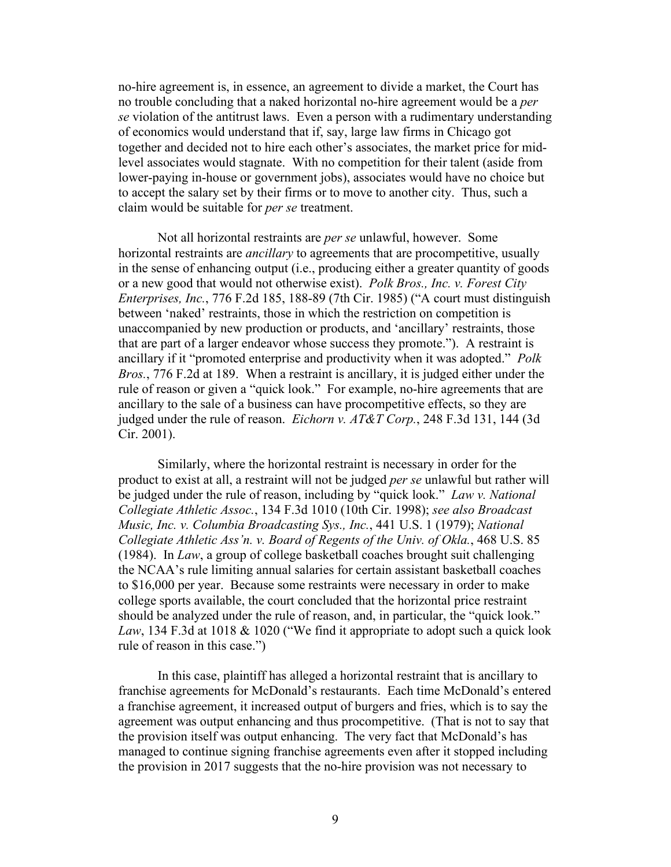no-hire agreement is, in essence, an agreement to divide a market, the Court has no trouble concluding that a naked horizontal no-hire agreement would be a *per se* violation of the antitrust laws. Even a person with a rudimentary understanding of economics would understand that if, say, large law firms in Chicago got together and decided not to hire each other's associates, the market price for midlevel associates would stagnate. With no competition for their talent (aside from lower-paying in-house or government jobs), associates would have no choice but to accept the salary set by their firms or to move to another city. Thus, such a claim would be suitable for *per se* treatment.

Not all horizontal restraints are *per se* unlawful, however. Some horizontal restraints are *ancillary* to agreements that are procompetitive, usually in the sense of enhancing output (i.e., producing either a greater quantity of goods or a new good that would not otherwise exist). *Polk Bros., Inc. v. Forest City Enterprises, Inc.*, 776 F.2d 185, 188-89 (7th Cir. 1985) ("A court must distinguish between 'naked' restraints, those in which the restriction on competition is unaccompanied by new production or products, and 'ancillary' restraints, those that are part of a larger endeavor whose success they promote."). A restraint is ancillary if it "promoted enterprise and productivity when it was adopted." *Polk Bros.*, 776 F.2d at 189. When a restraint is ancillary, it is judged either under the rule of reason or given a "quick look." For example, no-hire agreements that are ancillary to the sale of a business can have procompetitive effects, so they are judged under the rule of reason. *Eichorn v. AT&T Corp.*, 248 F.3d 131, 144 (3d Cir. 2001).

Similarly, where the horizontal restraint is necessary in order for the product to exist at all, a restraint will not be judged *per se* unlawful but rather will be judged under the rule of reason, including by "quick look." *Law v. National Collegiate Athletic Assoc.*, 134 F.3d 1010 (10th Cir. 1998); *see also Broadcast Music, Inc. v. Columbia Broadcasting Sys., Inc.*, 441 U.S. 1 (1979); *National Collegiate Athletic Ass'n. v. Board of Regents of the Univ. of Okla.*, 468 U.S. 85 (1984). In *Law*, a group of college basketball coaches brought suit challenging the NCAA's rule limiting annual salaries for certain assistant basketball coaches to \$16,000 per year. Because some restraints were necessary in order to make college sports available, the court concluded that the horizontal price restraint should be analyzed under the rule of reason, and, in particular, the "quick look." *Law*, 134 F.3d at 1018 & 1020 ("We find it appropriate to adopt such a quick look rule of reason in this case.")

In this case, plaintiff has alleged a horizontal restraint that is ancillary to franchise agreements for McDonald's restaurants. Each time McDonald's entered a franchise agreement, it increased output of burgers and fries, which is to say the agreement was output enhancing and thus procompetitive. (That is not to say that the provision itself was output enhancing. The very fact that McDonald's has managed to continue signing franchise agreements even after it stopped including the provision in 2017 suggests that the no-hire provision was not necessary to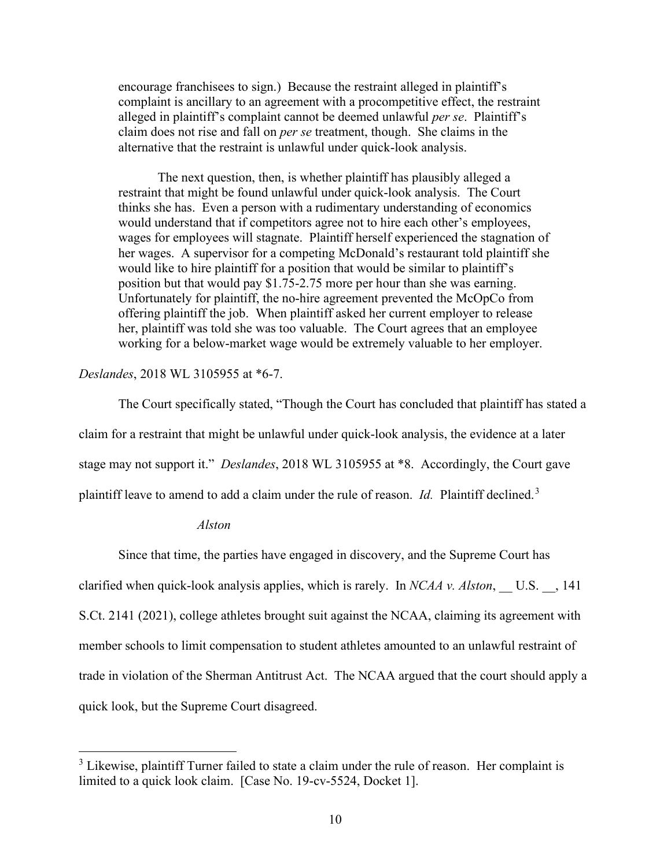encourage franchisees to sign.) Because the restraint alleged in plaintiff's complaint is ancillary to an agreement with a procompetitive effect, the restraint alleged in plaintiff's complaint cannot be deemed unlawful *per se*. Plaintiff's claim does not rise and fall on *per se* treatment, though. She claims in the alternative that the restraint is unlawful under quick-look analysis.

The next question, then, is whether plaintiff has plausibly alleged a restraint that might be found unlawful under quick-look analysis. The Court thinks she has. Even a person with a rudimentary understanding of economics would understand that if competitors agree not to hire each other's employees, wages for employees will stagnate. Plaintiff herself experienced the stagnation of her wages. A supervisor for a competing McDonald's restaurant told plaintiff she would like to hire plaintiff for a position that would be similar to plaintiff's position but that would pay \$1.75-2.75 more per hour than she was earning. Unfortunately for plaintiff, the no-hire agreement prevented the McOpCo from offering plaintiff the job. When plaintiff asked her current employer to release her, plaintiff was told she was too valuable. The Court agrees that an employee working for a below-market wage would be extremely valuable to her employer.

#### *Deslandes*, 2018 WL 3105955 at \*6-7.

The Court specifically stated, "Though the Court has concluded that plaintiff has stated a claim for a restraint that might be unlawful under quick-look analysis, the evidence at a later stage may not support it." *Deslandes*, 2018 WL 3105955 at \*8. Accordingly, the Court gave plaintiff leave to amend to add a claim under the rule of reason. *Id.* Plaintiff declined.<sup>[3](#page-9-0)</sup>

#### *Alston*

Since that time, the parties have engaged in discovery, and the Supreme Court has clarified when quick-look analysis applies, which is rarely. In *NCAA v. Alston*, U.S., 141 S.Ct. 2141 (2021), college athletes brought suit against the NCAA, claiming its agreement with member schools to limit compensation to student athletes amounted to an unlawful restraint of trade in violation of the Sherman Antitrust Act. The NCAA argued that the court should apply a quick look, but the Supreme Court disagreed.

<span id="page-9-0"></span> $3$  Likewise, plaintiff Turner failed to state a claim under the rule of reason. Her complaint is limited to a quick look claim. [Case No. 19-cv-5524, Docket 1].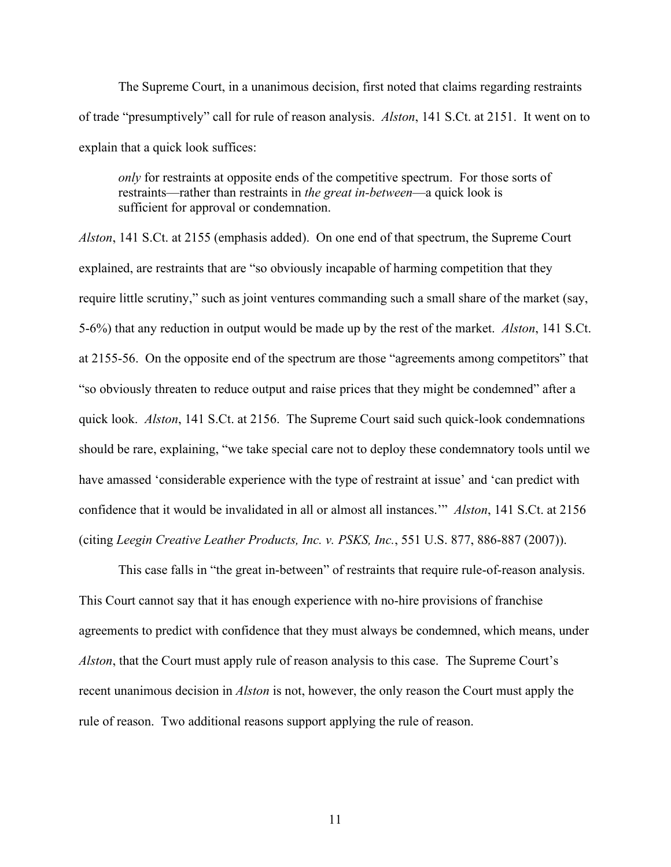The Supreme Court, in a unanimous decision, first noted that claims regarding restraints of trade "presumptively" call for rule of reason analysis. *Alston*, 141 S.Ct. at 2151. It went on to explain that a quick look suffices:

*only* for restraints at opposite ends of the competitive spectrum. For those sorts of restraints—rather than restraints in *the great in-between*—a quick look is sufficient for approval or condemnation.

*Alston*, 141 S.Ct. at 2155 (emphasis added). On one end of that spectrum, the Supreme Court explained, are restraints that are "so obviously incapable of harming competition that they require little scrutiny," such as joint ventures commanding such a small share of the market (say, 5-6%) that any reduction in output would be made up by the rest of the market. *Alston*, 141 S.Ct. at 2155-56. On the opposite end of the spectrum are those "agreements among competitors" that "so obviously threaten to reduce output and raise prices that they might be condemned" after a quick look. *Alston*, 141 S.Ct. at 2156. The Supreme Court said such quick-look condemnations should be rare, explaining, "we take special care not to deploy these condemnatory tools until we have amassed 'considerable experience with the type of restraint at issue' and 'can predict with confidence that it would be invalidated in all or almost all instances.'" *Alston*, 141 S.Ct. at 2156 (citing *Leegin Creative Leather Products, Inc. v. PSKS, Inc.*, 551 U.S. 877, 886-887 (2007)).

This case falls in "the great in-between" of restraints that require rule-of-reason analysis. This Court cannot say that it has enough experience with no-hire provisions of franchise agreements to predict with confidence that they must always be condemned, which means, under *Alston*, that the Court must apply rule of reason analysis to this case. The Supreme Court's recent unanimous decision in *Alston* is not, however, the only reason the Court must apply the rule of reason. Two additional reasons support applying the rule of reason.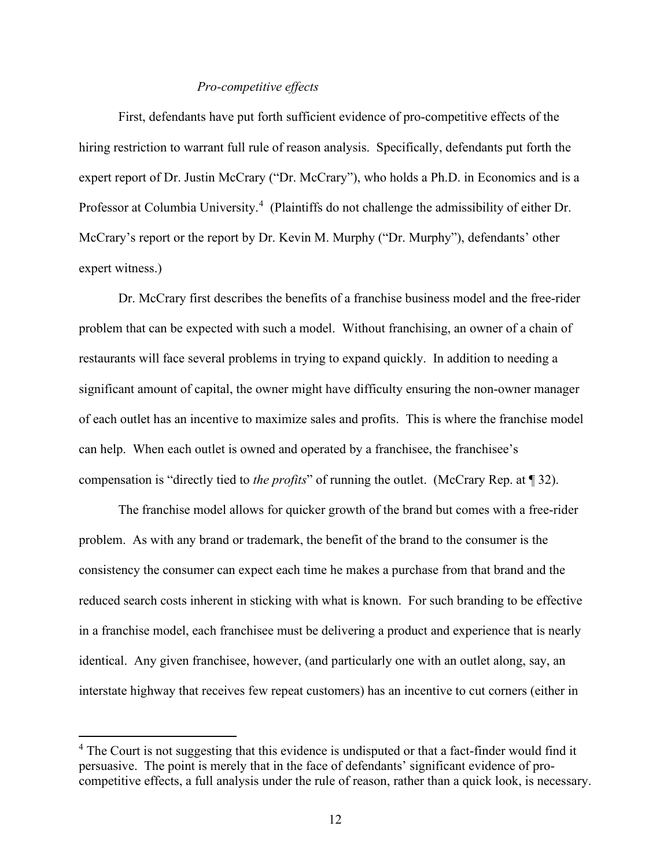#### *Pro-competitive effects*

First, defendants have put forth sufficient evidence of pro-competitive effects of the hiring restriction to warrant full rule of reason analysis. Specifically, defendants put forth the expert report of Dr. Justin McCrary ("Dr. McCrary"), who holds a Ph.D. in Economics and is a Professor at Columbia University.<sup>[4](#page-11-0)</sup> (Plaintiffs do not challenge the admissibility of either Dr. McCrary's report or the report by Dr. Kevin M. Murphy ("Dr. Murphy"), defendants' other expert witness.)

Dr. McCrary first describes the benefits of a franchise business model and the free-rider problem that can be expected with such a model. Without franchising, an owner of a chain of restaurants will face several problems in trying to expand quickly. In addition to needing a significant amount of capital, the owner might have difficulty ensuring the non-owner manager of each outlet has an incentive to maximize sales and profits. This is where the franchise model can help. When each outlet is owned and operated by a franchisee, the franchisee's compensation is "directly tied to *the profits*" of running the outlet. (McCrary Rep. at ¶ 32).

The franchise model allows for quicker growth of the brand but comes with a free-rider problem. As with any brand or trademark, the benefit of the brand to the consumer is the consistency the consumer can expect each time he makes a purchase from that brand and the reduced search costs inherent in sticking with what is known. For such branding to be effective in a franchise model, each franchisee must be delivering a product and experience that is nearly identical. Any given franchisee, however, (and particularly one with an outlet along, say, an interstate highway that receives few repeat customers) has an incentive to cut corners (either in

<span id="page-11-0"></span> $4$  The Court is not suggesting that this evidence is undisputed or that a fact-finder would find it persuasive. The point is merely that in the face of defendants' significant evidence of procompetitive effects, a full analysis under the rule of reason, rather than a quick look, is necessary.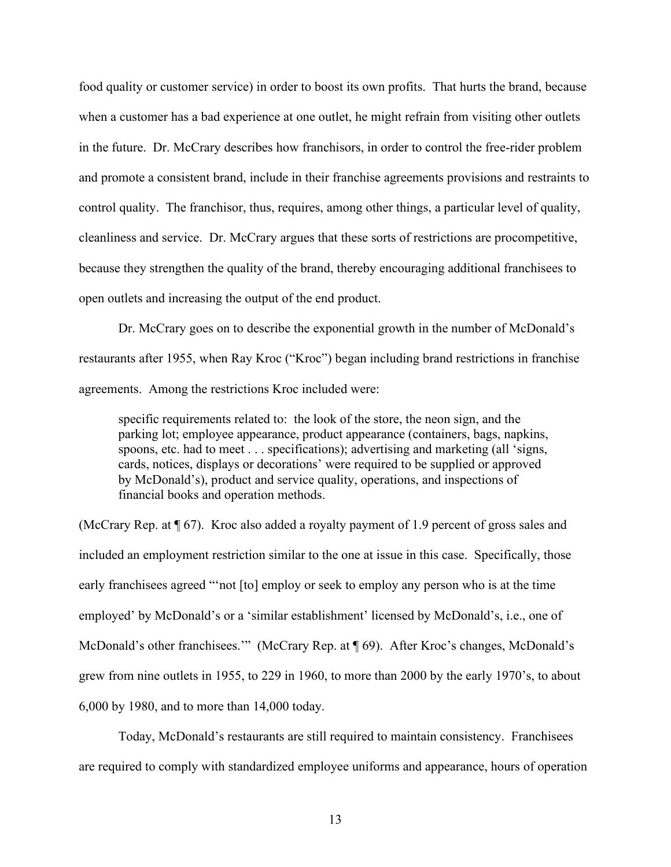food quality or customer service) in order to boost its own profits. That hurts the brand, because when a customer has a bad experience at one outlet, he might refrain from visiting other outlets in the future. Dr. McCrary describes how franchisors, in order to control the free-rider problem and promote a consistent brand, include in their franchise agreements provisions and restraints to control quality. The franchisor, thus, requires, among other things, a particular level of quality, cleanliness and service. Dr. McCrary argues that these sorts of restrictions are procompetitive, because they strengthen the quality of the brand, thereby encouraging additional franchisees to open outlets and increasing the output of the end product.

Dr. McCrary goes on to describe the exponential growth in the number of McDonald's restaurants after 1955, when Ray Kroc ("Kroc") began including brand restrictions in franchise agreements. Among the restrictions Kroc included were:

specific requirements related to: the look of the store, the neon sign, and the parking lot; employee appearance, product appearance (containers, bags, napkins, spoons, etc. had to meet . . . specifications); advertising and marketing (all 'signs, cards, notices, displays or decorations' were required to be supplied or approved by McDonald's), product and service quality, operations, and inspections of financial books and operation methods.

(McCrary Rep. at ¶ 67). Kroc also added a royalty payment of 1.9 percent of gross sales and included an employment restriction similar to the one at issue in this case. Specifically, those early franchisees agreed "'not [to] employ or seek to employ any person who is at the time employed' by McDonald's or a 'similar establishment' licensed by McDonald's, i.e., one of McDonald's other franchisees.'" (McCrary Rep. at ¶ 69). After Kroc's changes, McDonald's grew from nine outlets in 1955, to 229 in 1960, to more than 2000 by the early 1970's, to about 6,000 by 1980, and to more than 14,000 today.

Today, McDonald's restaurants are still required to maintain consistency. Franchisees are required to comply with standardized employee uniforms and appearance, hours of operation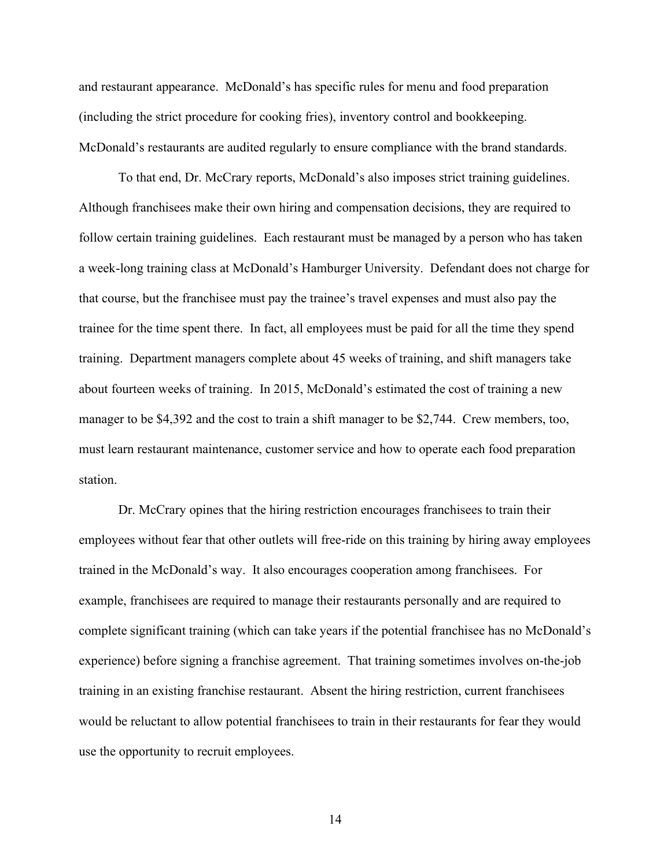and restaurant appearance. McDonald's has specific rules for menu and food preparation (including the strict procedure for cooking fries), inventory control and bookkeeping. McDonald's restaurants are audited regularly to ensure compliance with the brand standards.

To that end, Dr. McCrary reports, McDonald's also imposes strict training guidelines. Although franchisees make their own hiring and compensation decisions, they are required to follow certain training guidelines. Each restaurant must be managed by a person who has taken a week-long training class at McDonald's Hamburger University. Defendant does not charge for that course, but the franchisee must pay the trainee's travel expenses and must also pay the trainee for the time spent there. In fact, all employees must be paid for all the time they spend training. Department managers complete about 45 weeks of training, and shift managers take about fourteen weeks of training. In 2015, McDonald's estimated the cost of training a new manager to be \$4,392 and the cost to train a shift manager to be \$2,744. Crew members, too, must learn restaurant maintenance, customer service and how to operate each food preparation station.

Dr. McCrary opines that the hiring restriction encourages franchisees to train their employees without fear that other outlets will free-ride on this training by hiring away employees trained in the McDonald's way. It also encourages cooperation among franchisees. For example, franchisees are required to manage their restaurants personally and are required to complete significant training (which can take years if the potential franchisee has no McDonald's experience) before signing a franchise agreement. That training sometimes involves on-the-job training in an existing franchise restaurant. Absent the hiring restriction, current franchisees would be reluctant to allow potential franchisees to train in their restaurants for fear they would use the opportunity to recruit employees.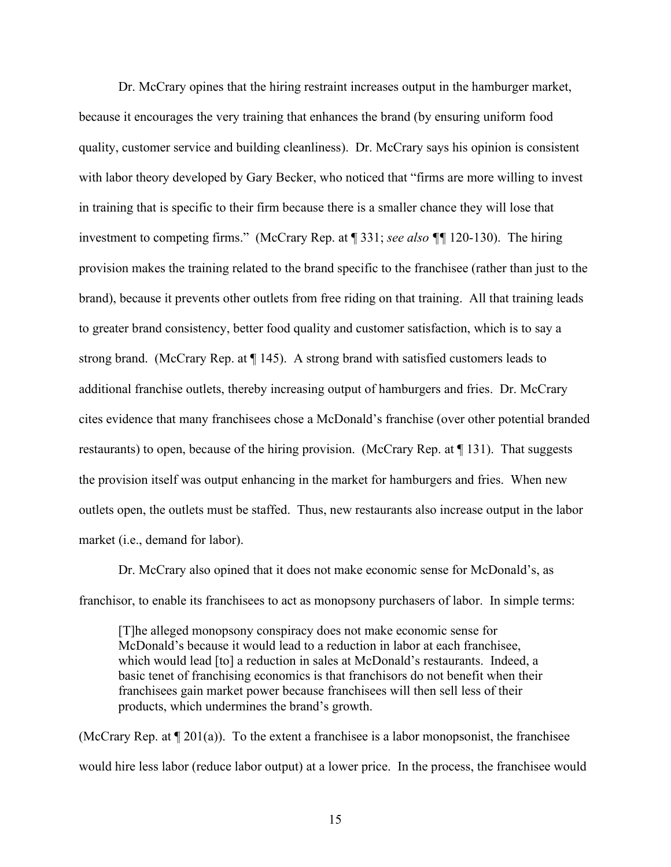Dr. McCrary opines that the hiring restraint increases output in the hamburger market, because it encourages the very training that enhances the brand (by ensuring uniform food quality, customer service and building cleanliness). Dr. McCrary says his opinion is consistent with labor theory developed by Gary Becker, who noticed that "firms are more willing to invest in training that is specific to their firm because there is a smaller chance they will lose that investment to competing firms." (McCrary Rep. at ¶ 331; *see also ¶¶* 120-130). The hiring provision makes the training related to the brand specific to the franchisee (rather than just to the brand), because it prevents other outlets from free riding on that training. All that training leads to greater brand consistency, better food quality and customer satisfaction, which is to say a strong brand. (McCrary Rep. at ¶ 145). A strong brand with satisfied customers leads to additional franchise outlets, thereby increasing output of hamburgers and fries. Dr. McCrary cites evidence that many franchisees chose a McDonald's franchise (over other potential branded restaurants) to open, because of the hiring provision. (McCrary Rep. at ¶ 131). That suggests the provision itself was output enhancing in the market for hamburgers and fries. When new outlets open, the outlets must be staffed. Thus, new restaurants also increase output in the labor market (i.e., demand for labor).

Dr. McCrary also opined that it does not make economic sense for McDonald's, as franchisor, to enable its franchisees to act as monopsony purchasers of labor. In simple terms:

[T]he alleged monopsony conspiracy does not make economic sense for McDonald's because it would lead to a reduction in labor at each franchisee, which would lead [to] a reduction in sales at McDonald's restaurants. Indeed, a basic tenet of franchising economics is that franchisors do not benefit when their franchisees gain market power because franchisees will then sell less of their products, which undermines the brand's growth.

(McCrary Rep. at  $\P$  201(a)). To the extent a franchisee is a labor monopsonist, the franchisee would hire less labor (reduce labor output) at a lower price. In the process, the franchisee would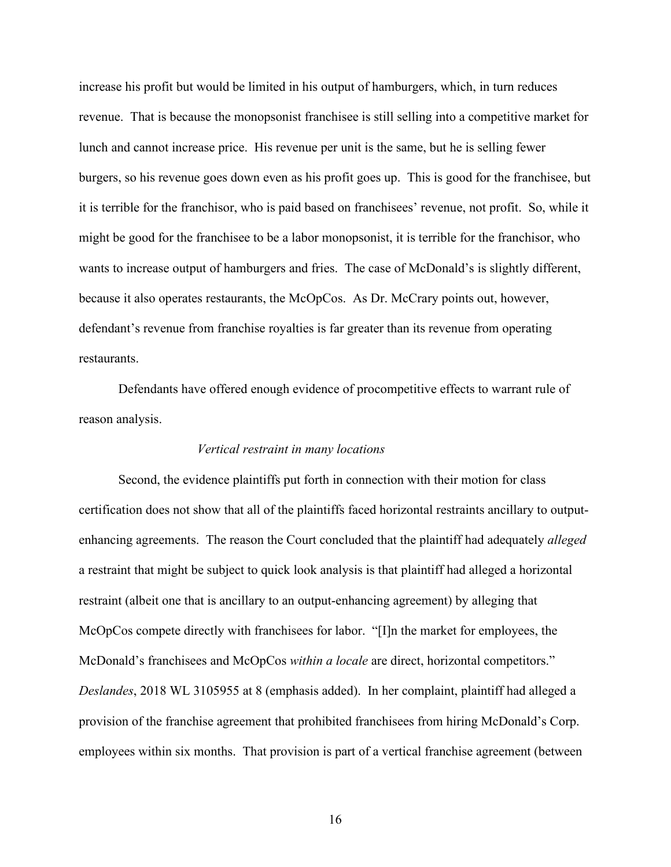increase his profit but would be limited in his output of hamburgers, which, in turn reduces revenue. That is because the monopsonist franchisee is still selling into a competitive market for lunch and cannot increase price. His revenue per unit is the same, but he is selling fewer burgers, so his revenue goes down even as his profit goes up. This is good for the franchisee, but it is terrible for the franchisor, who is paid based on franchisees' revenue, not profit. So, while it might be good for the franchisee to be a labor monopsonist, it is terrible for the franchisor, who wants to increase output of hamburgers and fries. The case of McDonald's is slightly different, because it also operates restaurants, the McOpCos. As Dr. McCrary points out, however, defendant's revenue from franchise royalties is far greater than its revenue from operating restaurants.

Defendants have offered enough evidence of procompetitive effects to warrant rule of reason analysis.

#### *Vertical restraint in many locations*

Second, the evidence plaintiffs put forth in connection with their motion for class certification does not show that all of the plaintiffs faced horizontal restraints ancillary to outputenhancing agreements. The reason the Court concluded that the plaintiff had adequately *alleged*  a restraint that might be subject to quick look analysis is that plaintiff had alleged a horizontal restraint (albeit one that is ancillary to an output-enhancing agreement) by alleging that McOpCos compete directly with franchisees for labor. "[I]n the market for employees, the McDonald's franchisees and McOpCos *within a locale* are direct, horizontal competitors." *Deslandes*, 2018 WL 3105955 at 8 (emphasis added). In her complaint, plaintiff had alleged a provision of the franchise agreement that prohibited franchisees from hiring McDonald's Corp. employees within six months. That provision is part of a vertical franchise agreement (between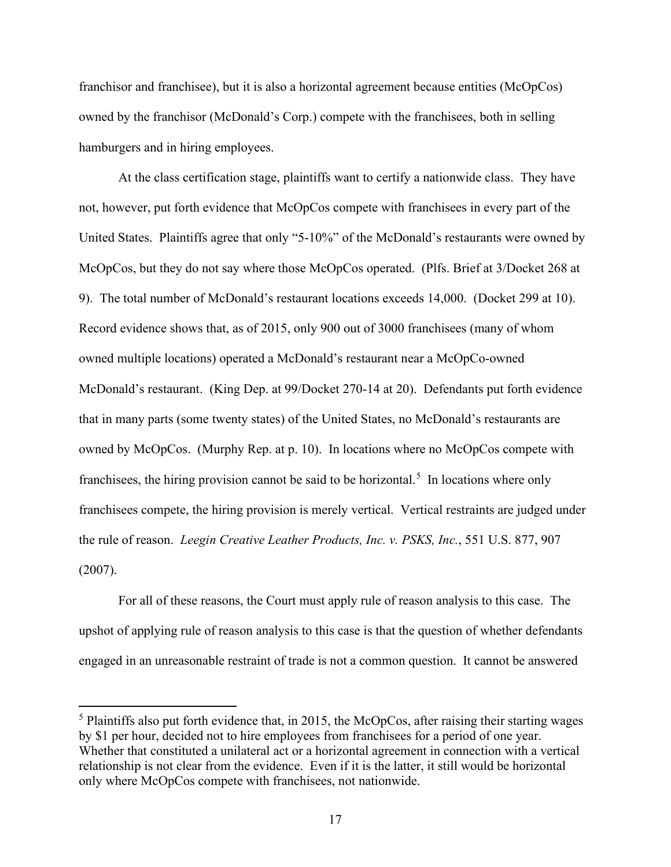franchisor and franchisee), but it is also a horizontal agreement because entities (McOpCos) owned by the franchisor (McDonald's Corp.) compete with the franchisees, both in selling hamburgers and in hiring employees.

At the class certification stage, plaintiffs want to certify a nationwide class. They have not, however, put forth evidence that McOpCos compete with franchisees in every part of the United States. Plaintiffs agree that only "5-10%" of the McDonald's restaurants were owned by McOpCos, but they do not say where those McOpCos operated. (Plfs. Brief at 3/Docket 268 at 9). The total number of McDonald's restaurant locations exceeds 14,000. (Docket 299 at 10). Record evidence shows that, as of 2015, only 900 out of 3000 franchisees (many of whom owned multiple locations) operated a McDonald's restaurant near a McOpCo-owned McDonald's restaurant. (King Dep. at 99/Docket 270-14 at 20). Defendants put forth evidence that in many parts (some twenty states) of the United States, no McDonald's restaurants are owned by McOpCos. (Murphy Rep. at p. 10). In locations where no McOpCos compete with franchisees, the hiring provision cannot be said to be horizontal.<sup>[5](#page-16-0)</sup> In locations where only franchisees compete, the hiring provision is merely vertical. Vertical restraints are judged under the rule of reason. *Leegin Creative Leather Products, Inc. v. PSKS, Inc.*, 551 U.S. 877, 907 (2007).

For all of these reasons, the Court must apply rule of reason analysis to this case. The upshot of applying rule of reason analysis to this case is that the question of whether defendants engaged in an unreasonable restraint of trade is not a common question. It cannot be answered

<span id="page-16-0"></span> $<sup>5</sup>$  Plaintiffs also put forth evidence that, in 2015, the McOpCos, after raising their starting wages</sup> by \$1 per hour, decided not to hire employees from franchisees for a period of one year. Whether that constituted a unilateral act or a horizontal agreement in connection with a vertical relationship is not clear from the evidence. Even if it is the latter, it still would be horizontal only where McOpCos compete with franchisees, not nationwide.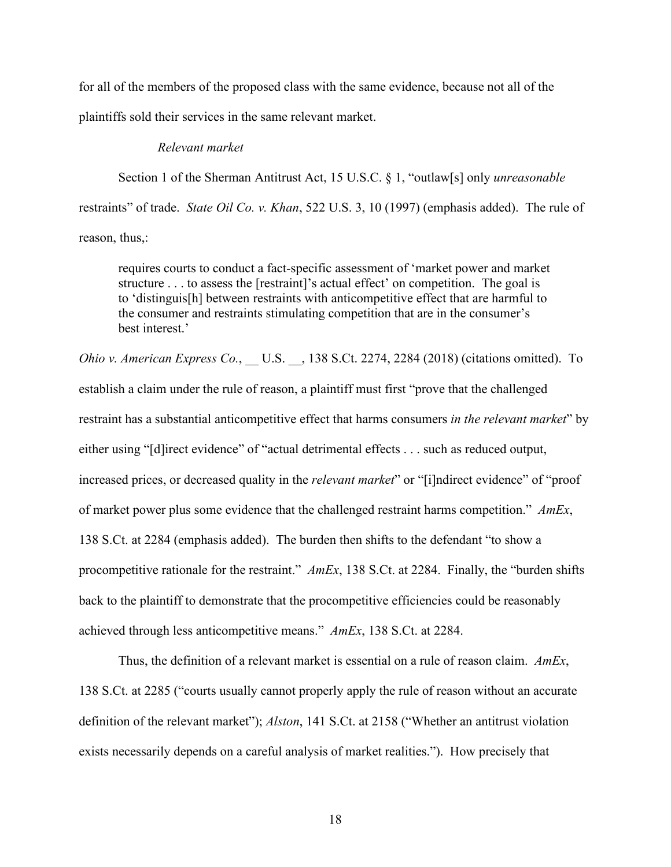for all of the members of the proposed class with the same evidence, because not all of the plaintiffs sold their services in the same relevant market.

#### *Relevant market*

Section 1 of the Sherman Antitrust Act, 15 U.S.C. § 1, "outlaw[s] only *unreasonable* restraints" of trade. *State Oil Co. v. Khan*, 522 U.S. 3, 10 (1997) (emphasis added). The rule of reason, thus,:

requires courts to conduct a fact-specific assessment of 'market power and market structure . . . to assess the [restraint]'s actual effect' on competition. The goal is to 'distinguis[h] between restraints with anticompetitive effect that are harmful to the consumer and restraints stimulating competition that are in the consumer's best interest.'

*Ohio v. American Express Co.*, U.S., 138 S.Ct. 2274, 2284 (2018) (citations omitted). To establish a claim under the rule of reason, a plaintiff must first "prove that the challenged restraint has a substantial anticompetitive effect that harms consumers *in the relevant market*" by either using "[d]irect evidence" of "actual detrimental effects . . . such as reduced output, increased prices, or decreased quality in the *relevant market*" or "[i]ndirect evidence" of "proof of market power plus some evidence that the challenged restraint harms competition." *AmEx*, 138 S.Ct. at 2284 (emphasis added). The burden then shifts to the defendant "to show a procompetitive rationale for the restraint." *AmEx*, 138 S.Ct. at 2284. Finally, the "burden shifts back to the plaintiff to demonstrate that the procompetitive efficiencies could be reasonably achieved through less anticompetitive means." *AmEx*, 138 S.Ct. at 2284.

Thus, the definition of a relevant market is essential on a rule of reason claim. *AmEx*, 138 S.Ct. at 2285 ("courts usually cannot properly apply the rule of reason without an accurate definition of the relevant market"); *Alston*, 141 S.Ct. at 2158 ("Whether an antitrust violation exists necessarily depends on a careful analysis of market realities."). How precisely that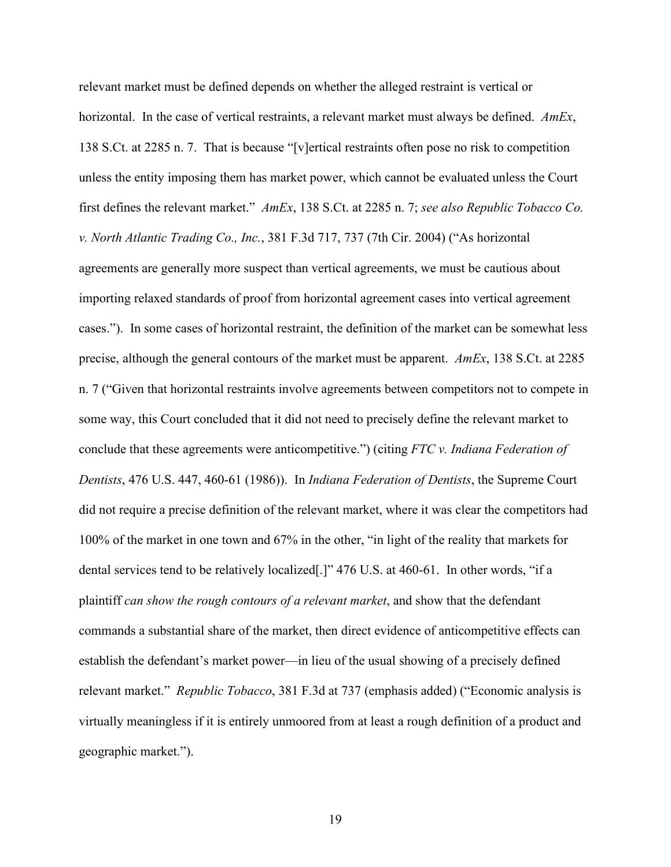relevant market must be defined depends on whether the alleged restraint is vertical or horizontal. In the case of vertical restraints, a relevant market must always be defined. *AmEx*, 138 S.Ct. at 2285 n. 7. That is because "[v]ertical restraints often pose no risk to competition unless the entity imposing them has market power, which cannot be evaluated unless the Court first defines the relevant market." *AmEx*, 138 S.Ct. at 2285 n. 7; *see also Republic Tobacco Co. v. North Atlantic Trading Co., Inc.*, 381 F.3d 717, 737 (7th Cir. 2004) ("As horizontal agreements are generally more suspect than vertical agreements, we must be cautious about importing relaxed standards of proof from horizontal agreement cases into vertical agreement cases."). In some cases of horizontal restraint, the definition of the market can be somewhat less precise, although the general contours of the market must be apparent. *AmEx*, 138 S.Ct. at 2285 n. 7 ("Given that horizontal restraints involve agreements between competitors not to compete in some way, this Court concluded that it did not need to precisely define the relevant market to conclude that these agreements were anticompetitive.") (citing *FTC v. Indiana Federation of Dentists*, 476 U.S. 447, 460-61 (1986)). In *Indiana Federation of Dentists*, the Supreme Court did not require a precise definition of the relevant market, where it was clear the competitors had 100% of the market in one town and 67% in the other, "in light of the reality that markets for dental services tend to be relatively localized[.]" 476 U.S. at 460-61. In other words, "if a plaintiff *can show the rough contours of a relevant market*, and show that the defendant commands a substantial share of the market, then direct evidence of anticompetitive effects can establish the defendant's market power—in lieu of the usual showing of a precisely defined relevant market." *Republic Tobacco*, 381 F.3d at 737 (emphasis added) ("Economic analysis is virtually meaningless if it is entirely unmoored from at least a rough definition of a product and geographic market.").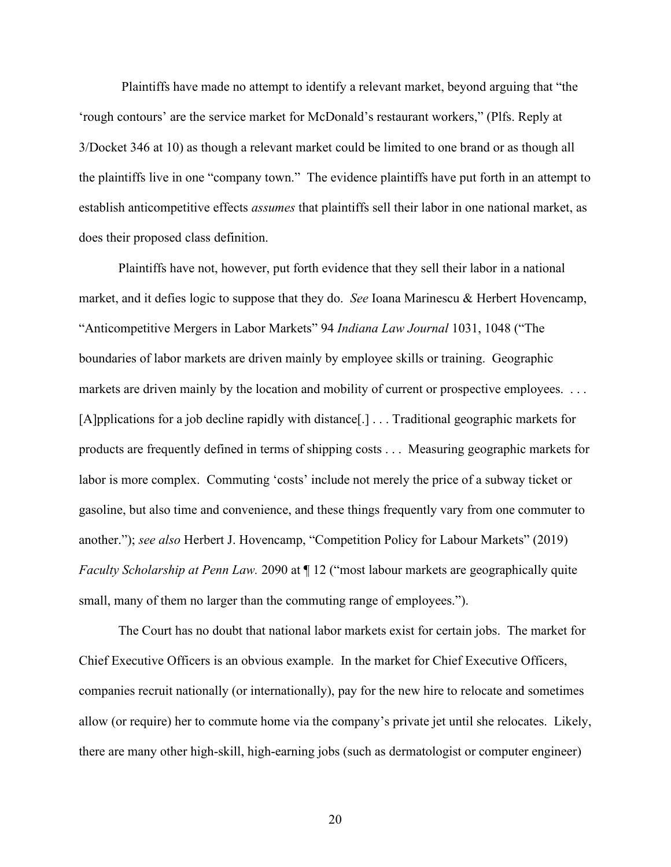Plaintiffs have made no attempt to identify a relevant market, beyond arguing that "the 'rough contours' are the service market for McDonald's restaurant workers," (Plfs. Reply at 3/Docket 346 at 10) as though a relevant market could be limited to one brand or as though all the plaintiffs live in one "company town." The evidence plaintiffs have put forth in an attempt to establish anticompetitive effects *assumes* that plaintiffs sell their labor in one national market, as does their proposed class definition.

Plaintiffs have not, however, put forth evidence that they sell their labor in a national market, and it defies logic to suppose that they do. *See* Ioana Marinescu & Herbert Hovencamp, "Anticompetitive Mergers in Labor Markets" 94 *Indiana Law Journal* 1031, 1048 ("The boundaries of labor markets are driven mainly by employee skills or training. Geographic markets are driven mainly by the location and mobility of current or prospective employees. ... [A]pplications for a job decline rapidly with distance[.] . . . Traditional geographic markets for products are frequently defined in terms of shipping costs . . . Measuring geographic markets for labor is more complex. Commuting 'costs' include not merely the price of a subway ticket or gasoline, but also time and convenience, and these things frequently vary from one commuter to another."); *see also* Herbert J. Hovencamp, "Competition Policy for Labour Markets" (2019) *Faculty Scholarship at Penn Law.* 2090 at  $\P$  12 ("most labour markets are geographically quite small, many of them no larger than the commuting range of employees.").

The Court has no doubt that national labor markets exist for certain jobs. The market for Chief Executive Officers is an obvious example. In the market for Chief Executive Officers, companies recruit nationally (or internationally), pay for the new hire to relocate and sometimes allow (or require) her to commute home via the company's private jet until she relocates. Likely, there are many other high-skill, high-earning jobs (such as dermatologist or computer engineer)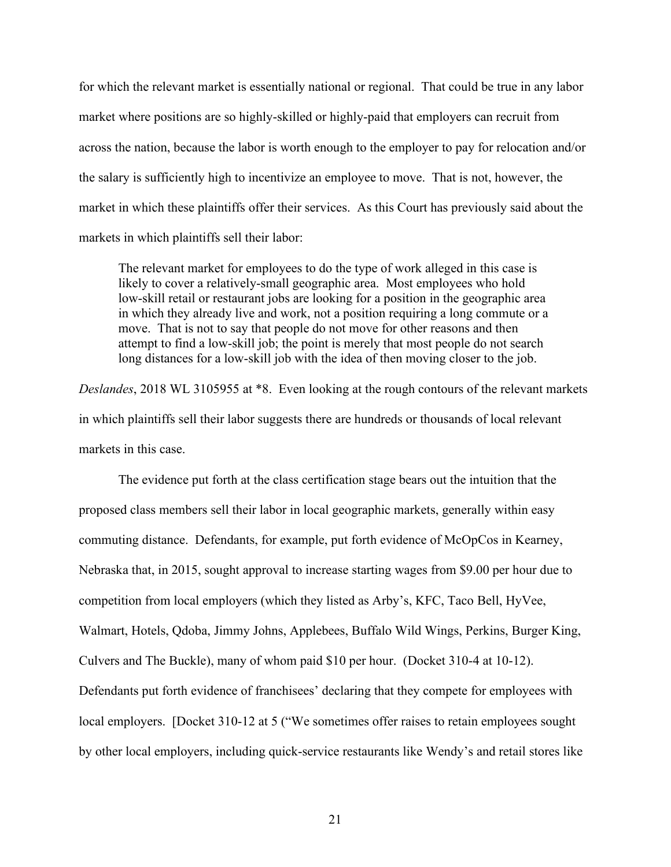for which the relevant market is essentially national or regional. That could be true in any labor market where positions are so highly-skilled or highly-paid that employers can recruit from across the nation, because the labor is worth enough to the employer to pay for relocation and/or the salary is sufficiently high to incentivize an employee to move. That is not, however, the market in which these plaintiffs offer their services. As this Court has previously said about the markets in which plaintiffs sell their labor:

The relevant market for employees to do the type of work alleged in this case is likely to cover a relatively-small geographic area. Most employees who hold low-skill retail or restaurant jobs are looking for a position in the geographic area in which they already live and work, not a position requiring a long commute or a move. That is not to say that people do not move for other reasons and then attempt to find a low-skill job; the point is merely that most people do not search long distances for a low-skill job with the idea of then moving closer to the job.

*Deslandes*, 2018 WL 3105955 at \*8. Even looking at the rough contours of the relevant markets in which plaintiffs sell their labor suggests there are hundreds or thousands of local relevant markets in this case.

The evidence put forth at the class certification stage bears out the intuition that the proposed class members sell their labor in local geographic markets, generally within easy commuting distance. Defendants, for example, put forth evidence of McOpCos in Kearney, Nebraska that, in 2015, sought approval to increase starting wages from \$9.00 per hour due to competition from local employers (which they listed as Arby's, KFC, Taco Bell, HyVee, Walmart, Hotels, Qdoba, Jimmy Johns, Applebees, Buffalo Wild Wings, Perkins, Burger King, Culvers and The Buckle), many of whom paid \$10 per hour. (Docket 310-4 at 10-12). Defendants put forth evidence of franchisees' declaring that they compete for employees with local employers. [Docket 310-12 at 5 ("We sometimes offer raises to retain employees sought by other local employers, including quick-service restaurants like Wendy's and retail stores like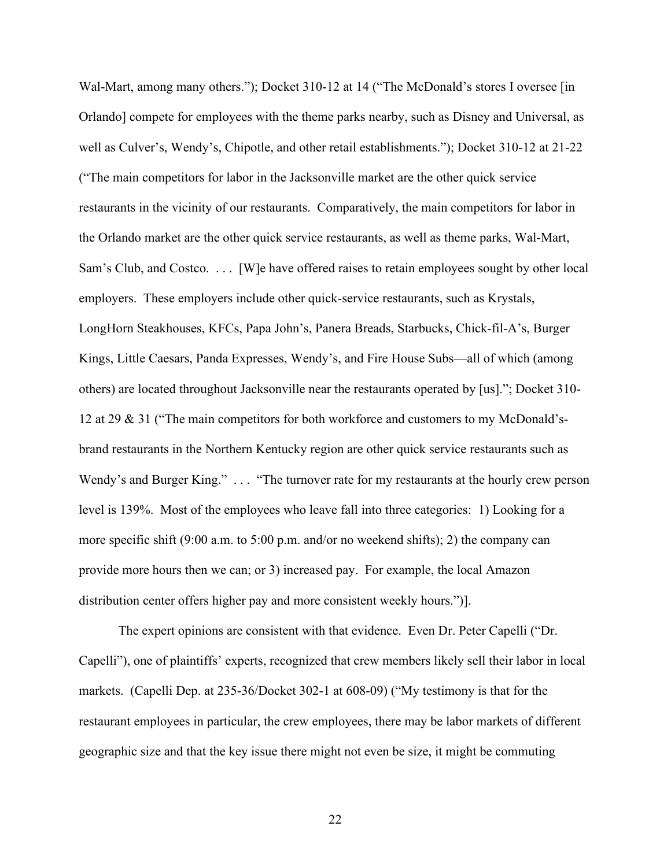Wal-Mart, among many others."); Docket 310-12 at 14 ("The McDonald's stores I oversee [in] Orlando] compete for employees with the theme parks nearby, such as Disney and Universal, as well as Culver's, Wendy's, Chipotle, and other retail establishments."); Docket 310-12 at 21-22 ("The main competitors for labor in the Jacksonville market are the other quick service restaurants in the vicinity of our restaurants. Comparatively, the main competitors for labor in the Orlando market are the other quick service restaurants, as well as theme parks, Wal-Mart, Sam's Club, and Costco. . . . [W]e have offered raises to retain employees sought by other local employers. These employers include other quick-service restaurants, such as Krystals, LongHorn Steakhouses, KFCs, Papa John's, Panera Breads, Starbucks, Chick-fil-A's, Burger Kings, Little Caesars, Panda Expresses, Wendy's, and Fire House Subs—all of which (among others) are located throughout Jacksonville near the restaurants operated by [us]."; Docket 310- 12 at 29 & 31 ("The main competitors for both workforce and customers to my McDonald'sbrand restaurants in the Northern Kentucky region are other quick service restaurants such as Wendy's and Burger King." . . . "The turnover rate for my restaurants at the hourly crew person level is 139%. Most of the employees who leave fall into three categories: 1) Looking for a more specific shift (9:00 a.m. to 5:00 p.m. and/or no weekend shifts); 2) the company can provide more hours then we can; or 3) increased pay. For example, the local Amazon distribution center offers higher pay and more consistent weekly hours.")].

The expert opinions are consistent with that evidence. Even Dr. Peter Capelli ("Dr. Capelli"), one of plaintiffs' experts, recognized that crew members likely sell their labor in local markets. (Capelli Dep. at 235-36/Docket 302-1 at 608-09) ("My testimony is that for the restaurant employees in particular, the crew employees, there may be labor markets of different geographic size and that the key issue there might not even be size, it might be commuting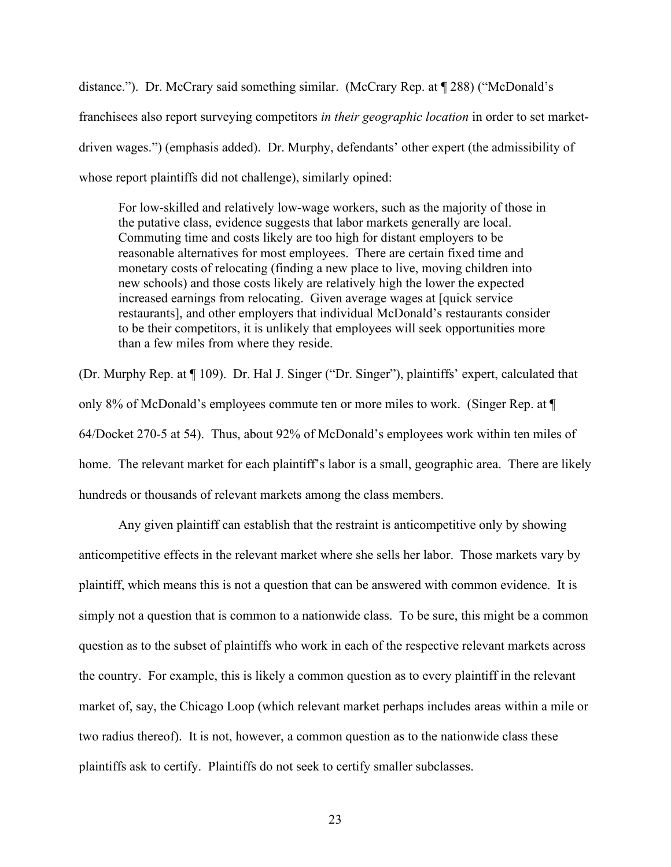distance."). Dr. McCrary said something similar. (McCrary Rep. at ¶ 288) ("McDonald's franchisees also report surveying competitors *in their geographic location* in order to set marketdriven wages.") (emphasis added). Dr. Murphy, defendants' other expert (the admissibility of whose report plaintiffs did not challenge), similarly opined:

For low-skilled and relatively low-wage workers, such as the majority of those in the putative class, evidence suggests that labor markets generally are local. Commuting time and costs likely are too high for distant employers to be reasonable alternatives for most employees. There are certain fixed time and monetary costs of relocating (finding a new place to live, moving children into new schools) and those costs likely are relatively high the lower the expected increased earnings from relocating. Given average wages at [quick service restaurants], and other employers that individual McDonald's restaurants consider to be their competitors, it is unlikely that employees will seek opportunities more than a few miles from where they reside.

(Dr. Murphy Rep. at ¶ 109). Dr. Hal J. Singer ("Dr. Singer"), plaintiffs' expert, calculated that only 8% of McDonald's employees commute ten or more miles to work. (Singer Rep. at ¶ 64/Docket 270-5 at 54). Thus, about 92% of McDonald's employees work within ten miles of home. The relevant market for each plaintiff's labor is a small, geographic area. There are likely hundreds or thousands of relevant markets among the class members.

Any given plaintiff can establish that the restraint is anticompetitive only by showing anticompetitive effects in the relevant market where she sells her labor. Those markets vary by plaintiff, which means this is not a question that can be answered with common evidence. It is simply not a question that is common to a nationwide class. To be sure, this might be a common question as to the subset of plaintiffs who work in each of the respective relevant markets across the country. For example, this is likely a common question as to every plaintiff in the relevant market of, say, the Chicago Loop (which relevant market perhaps includes areas within a mile or two radius thereof). It is not, however, a common question as to the nationwide class these plaintiffs ask to certify. Plaintiffs do not seek to certify smaller subclasses.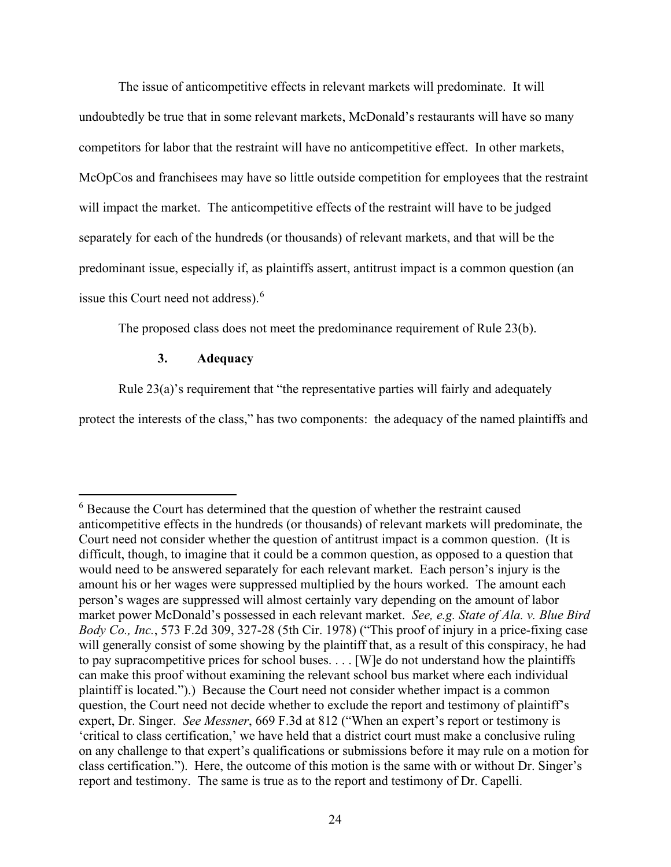The issue of anticompetitive effects in relevant markets will predominate. It will undoubtedly be true that in some relevant markets, McDonald's restaurants will have so many competitors for labor that the restraint will have no anticompetitive effect. In other markets, McOpCos and franchisees may have so little outside competition for employees that the restraint will impact the market. The anticompetitive effects of the restraint will have to be judged separately for each of the hundreds (or thousands) of relevant markets, and that will be the predominant issue, especially if, as plaintiffs assert, antitrust impact is a common question (an issue this Court need not address). [6](#page-23-0)

The proposed class does not meet the predominance requirement of Rule 23(b).

# **3. Adequacy**

Rule 23(a)'s requirement that "the representative parties will fairly and adequately

protect the interests of the class," has two components: the adequacy of the named plaintiffs and

<span id="page-23-0"></span><sup>&</sup>lt;sup>6</sup> Because the Court has determined that the question of whether the restraint caused anticompetitive effects in the hundreds (or thousands) of relevant markets will predominate, the Court need not consider whether the question of antitrust impact is a common question. (It is difficult, though, to imagine that it could be a common question, as opposed to a question that would need to be answered separately for each relevant market. Each person's injury is the amount his or her wages were suppressed multiplied by the hours worked. The amount each person's wages are suppressed will almost certainly vary depending on the amount of labor market power McDonald's possessed in each relevant market. *See, e.g. State of Ala. v. Blue Bird Body Co., Inc.*, 573 F.2d 309, 327-28 (5th Cir. 1978) ("This proof of injury in a price-fixing case will generally consist of some showing by the plaintiff that, as a result of this conspiracy, he had to pay supracompetitive prices for school buses. . . . [W]e do not understand how the plaintiffs can make this proof without examining the relevant school bus market where each individual plaintiff is located.").) Because the Court need not consider whether impact is a common question, the Court need not decide whether to exclude the report and testimony of plaintiff's expert, Dr. Singer. *See Messner*, 669 F.3d at 812 ("When an expert's report or testimony is 'critical to class certification,' we have held that a district court must make a conclusive ruling on any challenge to that expert's qualifications or submissions before it may rule on a motion for class certification."). Here, the outcome of this motion is the same with or without Dr. Singer's report and testimony. The same is true as to the report and testimony of Dr. Capelli.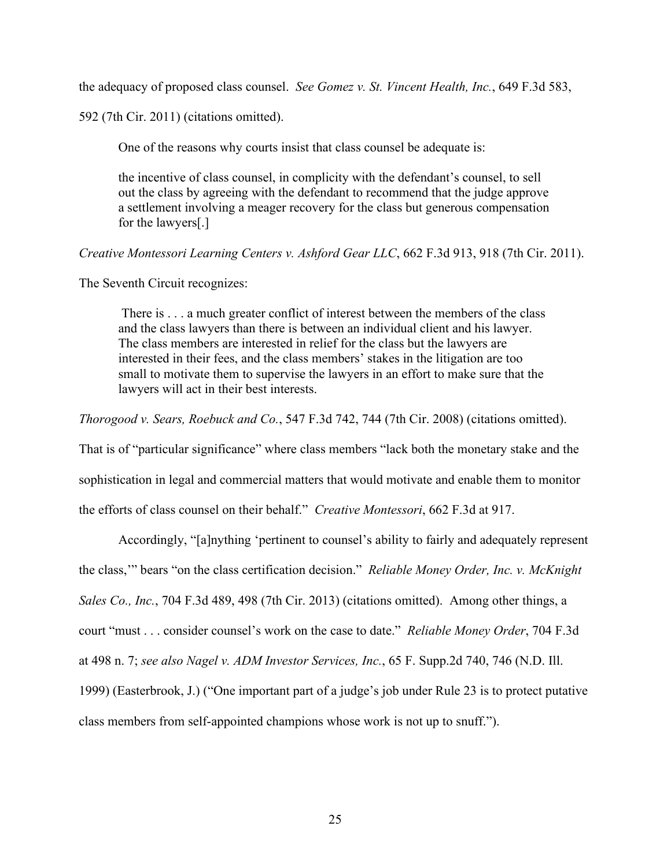the adequacy of proposed class counsel. *See Gomez v. St. Vincent Health, Inc.*, 649 F.3d 583,

592 (7th Cir. 2011) (citations omitted).

One of the reasons why courts insist that class counsel be adequate is:

the incentive of class counsel, in complicity with the defendant's counsel, to sell out the class by agreeing with the defendant to recommend that the judge approve a settlement involving a meager recovery for the class but generous compensation for the lawyers[.]

*Creative Montessori Learning Centers v. Ashford Gear LLC*, 662 F.3d 913, 918 (7th Cir. 2011).

The Seventh Circuit recognizes:

There is . . . a much greater conflict of interest between the members of the class and the class lawyers than there is between an individual client and his lawyer. The class members are interested in relief for the class but the lawyers are interested in their fees, and the class members' stakes in the litigation are too small to motivate them to supervise the lawyers in an effort to make sure that the lawyers will act in their best interests.

*Thorogood v. Sears, Roebuck and Co.*, 547 F.3d 742, 744 (7th Cir. 2008) (citations omitted).

That is of "particular significance" where class members "lack both the monetary stake and the sophistication in legal and commercial matters that would motivate and enable them to monitor the efforts of class counsel on their behalf." *Creative Montessori*, 662 F.3d at 917.

Accordingly, "[a]nything 'pertinent to counsel's ability to fairly and adequately represent the class,'" bears "on the class certification decision." *Reliable Money Order, Inc. v. McKnight Sales Co., Inc.*, 704 F.3d 489, 498 (7th Cir. 2013) (citations omitted). Among other things, a court "must . . . consider counsel's work on the case to date." *Reliable Money Order*, 704 F.3d at 498 n. 7; *see also Nagel v. ADM Investor Services, Inc.*, 65 F. Supp.2d 740, 746 (N.D. Ill. 1999) (Easterbrook, J.) ("One important part of a judge's job under Rule 23 is to protect putative class members from self-appointed champions whose work is not up to snuff.").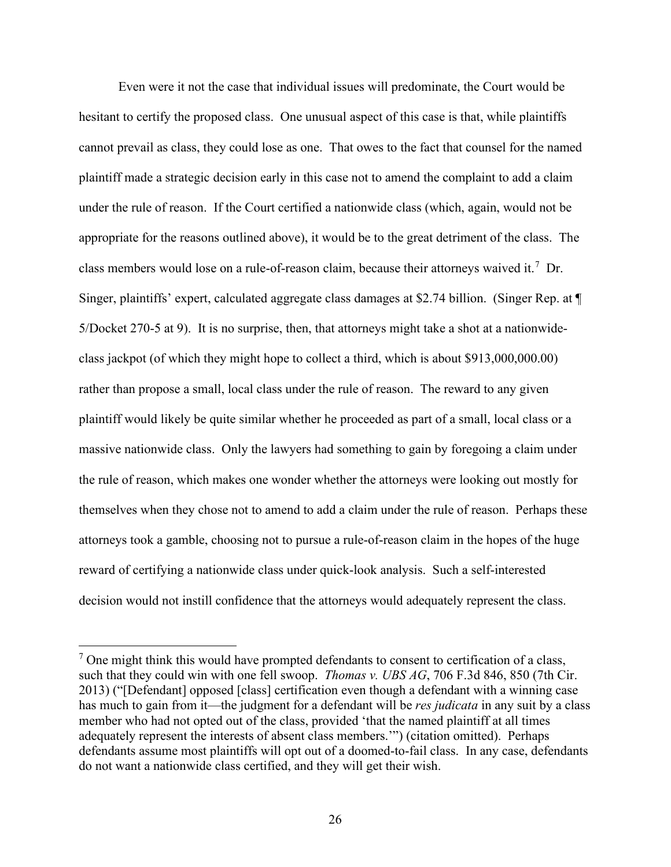Even were it not the case that individual issues will predominate, the Court would be hesitant to certify the proposed class. One unusual aspect of this case is that, while plaintiffs cannot prevail as class, they could lose as one. That owes to the fact that counsel for the named plaintiff made a strategic decision early in this case not to amend the complaint to add a claim under the rule of reason. If the Court certified a nationwide class (which, again, would not be appropriate for the reasons outlined above), it would be to the great detriment of the class. The class members would lose on a rule-of-reason claim, because their attorneys waived it.<sup>[7](#page-25-0)</sup> Dr. Singer, plaintiffs' expert, calculated aggregate class damages at \$2.74 billion. (Singer Rep. at ¶ 5/Docket 270-5 at 9). It is no surprise, then, that attorneys might take a shot at a nationwideclass jackpot (of which they might hope to collect a third, which is about \$913,000,000.00) rather than propose a small, local class under the rule of reason. The reward to any given plaintiff would likely be quite similar whether he proceeded as part of a small, local class or a massive nationwide class. Only the lawyers had something to gain by foregoing a claim under the rule of reason, which makes one wonder whether the attorneys were looking out mostly for themselves when they chose not to amend to add a claim under the rule of reason. Perhaps these attorneys took a gamble, choosing not to pursue a rule-of-reason claim in the hopes of the huge reward of certifying a nationwide class under quick-look analysis. Such a self-interested decision would not instill confidence that the attorneys would adequately represent the class.

<span id="page-25-0"></span> $<sup>7</sup>$  One might think this would have prompted defendants to consent to certification of a class,</sup> such that they could win with one fell swoop. *Thomas v. UBS AG*, 706 F.3d 846, 850 (7th Cir. 2013) ("[Defendant] opposed [class] certification even though a defendant with a winning case has much to gain from it—the judgment for a defendant will be *res judicata* in any suit by a class member who had not opted out of the class, provided 'that the named plaintiff at all times adequately represent the interests of absent class members.'") (citation omitted). Perhaps defendants assume most plaintiffs will opt out of a doomed-to-fail class. In any case, defendants do not want a nationwide class certified, and they will get their wish.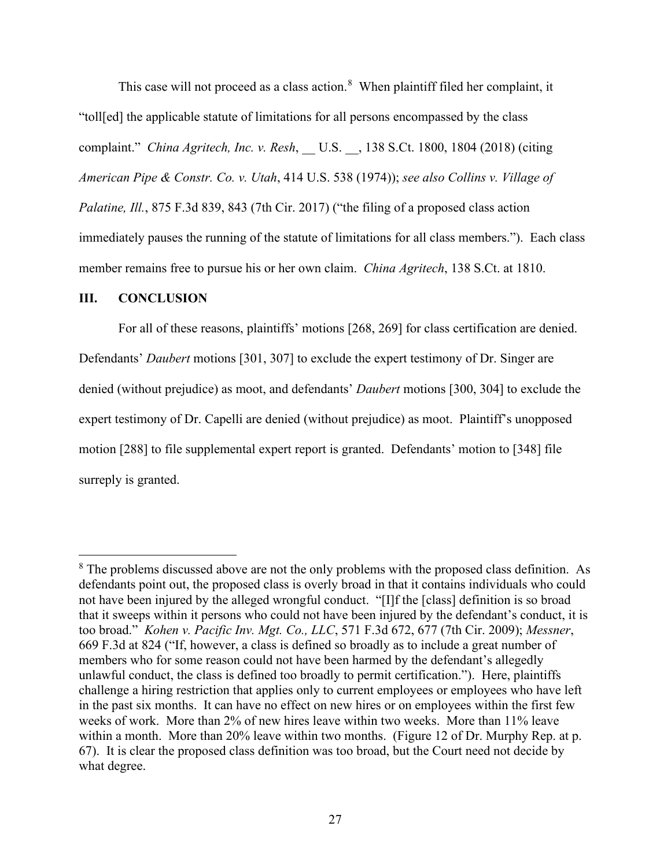This case will not proceed as a class action.<sup>[8](#page-26-0)</sup> When plaintiff filed her complaint, it "toll[ed] the applicable statute of limitations for all persons encompassed by the class complaint." *China Agritech, Inc. v. Resh*, \_\_ U.S. \_\_, 138 S.Ct. 1800, 1804 (2018) (citing *American Pipe & Constr. Co. v. Utah*, 414 U.S. 538 (1974)); *see also Collins v. Village of Palatine, Ill.*, 875 F.3d 839, 843 (7th Cir. 2017) ("the filing of a proposed class action immediately pauses the running of the statute of limitations for all class members."). Each class member remains free to pursue his or her own claim. *China Agritech*, 138 S.Ct. at 1810.

#### **III. CONCLUSION**

For all of these reasons, plaintiffs' motions [268, 269] for class certification are denied. Defendants' *Daubert* motions [301, 307] to exclude the expert testimony of Dr. Singer are denied (without prejudice) as moot, and defendants' *Daubert* motions [300, 304] to exclude the expert testimony of Dr. Capelli are denied (without prejudice) as moot. Plaintiff's unopposed motion [288] to file supplemental expert report is granted. Defendants' motion to [348] file surreply is granted.

<span id="page-26-0"></span><sup>&</sup>lt;sup>8</sup> The problems discussed above are not the only problems with the proposed class definition. As defendants point out, the proposed class is overly broad in that it contains individuals who could not have been injured by the alleged wrongful conduct. "[I]f the [class] definition is so broad that it sweeps within it persons who could not have been injured by the defendant's conduct, it is too broad." *Kohen v. Pacific Inv. Mgt. Co., LLC*, 571 F.3d 672, 677 (7th Cir. 2009); *Messner*, 669 F.3d at 824 ("If, however, a class is defined so broadly as to include a great number of members who for some reason could not have been harmed by the defendant's allegedly unlawful conduct, the class is defined too broadly to permit certification."). Here, plaintiffs challenge a hiring restriction that applies only to current employees or employees who have left in the past six months. It can have no effect on new hires or on employees within the first few weeks of work. More than 2% of new hires leave within two weeks. More than 11% leave within a month. More than 20% leave within two months. (Figure 12 of Dr. Murphy Rep. at p. 67). It is clear the proposed class definition was too broad, but the Court need not decide by what degree.